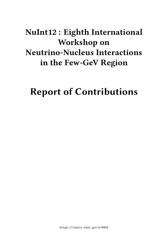# **NuInt12 : Eighth International Workshop on Neutrino-Nucleus Interactions in the Few-GeV Region**

# **Report of Contributions**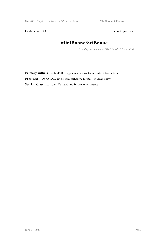Contribution ID: 0 Type: not specified

## **MiniBoone/SciBoone**

*Tuesday, September 9, 2014 9:30 AM (25 minutes)*

**Primary author:** Dr KATORI, Teppei (Massachusetts Institute of Technology) **Presenter:** Dr KATORI, Teppei (Massachusetts Institute of Technology) **Session Classification:** Current and future experiments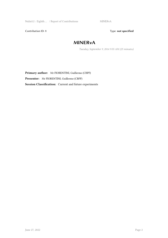NuInt12 : Eighth ... / Report of Contributions MINERvA

Contribution ID: 1 Type: **not specified** 

#### **MINERvA**

*Tuesday, September 9, 2014 9:55 AM (25 minutes)*

**Primary author:** Mr FIORENTINI, Guillermo (CBPF) **Presenter:** Mr FIORENTINI, Guillermo (CBPF) **Session Classification:** Current and future experiments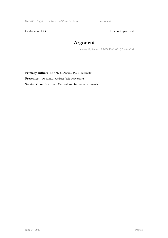NuInt12 : Eighth ... / Report of Contributions Argoneut

Contribution ID: 2 Type: **not specified** 

#### **Argoneut**

*Tuesday, September 9, 2014 10:45 AM (25 minutes)*

**Primary author:** Dr SZELC, Andrzej (Yale University) **Presenter:** Dr SZELC, Andrzej (Yale University) **Session Classification:** Current and future experiments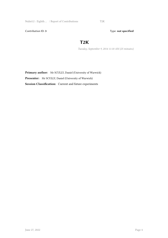NuInt12 : Eighth ... / Report of Contributions T2K

Contribution ID: 3 Type: **not specified** 

#### **T2K**

*Tuesday, September 9, 2014 11:10 AM (25 minutes)*

**Primary author:** Mr SCULLY, Daniel (University of Warwick) **Presenter:** Mr SCULLY, Daniel (University of Warwick) **Session Classification:** Current and future experiments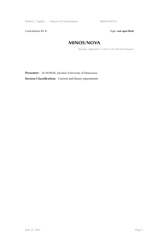NuInt12 : Eighth ... / Report of Contributions MINOS/NOVA

Contribution ID: 4 Type: **not specified** 

#### **MINOS/NOVA**

*Tuesday, September 9, 2014 11:35 AM (30 minutes)*

**Presenter:** Dr NOWAK, Jaroslaw (University of Minnesota)

**Session Classification:** Current and future experiments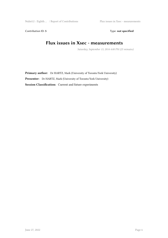Contribution ID: 5 Type: **not specified** 

## **Flux issues in Xsec - measurements**

*Saturday, September 13, 2014 4:00 PM (25 minutes)*

**Primary author:** Dr HARTZ, Mark (University of Toronto/York University) **Presenter:** Dr HARTZ, Mark (University of Toronto/York University) **Session Classification:** Current and future experiments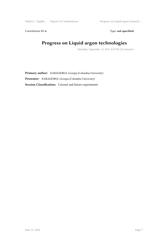Contribution ID: 6 Type: **not specified** 

# **Progress on Liquid argon technologies**

*Saturday, September 13, 2014 4:25 PM (25 minutes)*

**Primary author:** KARAGIORGI, Georgia (Columbia University) **Presenter:** KARAGIORGI, Georgia (Columbia University) **Session Classification:** Current and future experiments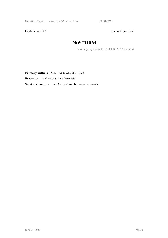NuInt12 : Eighth ... / Report of Contributions NuSTORM

Contribution ID: 7 Type: **not specified** 

#### **NuSTORM**

*Saturday, September 13, 2014 4:50 PM (25 minutes)*

**Primary author:** Prof. BROSS, Alan (Fermilab) Presenter: Prof. BROSS, Alan (Fermilab) **Session Classification:** Current and future experiments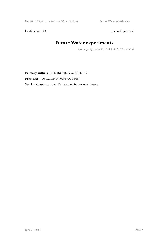NuInt12 : Eighth ... / Report of Contributions Future Water experiments

Contribution ID: 8 Type: **not specified** 

## **Future Water experiments**

*Saturday, September 13, 2014 5:15 PM (25 minutes)*

**Primary author:** Dr BERGEVIN, Marc (UC Davis) **Presenter:** Dr BERGEVIN, Marc (UC Davis) **Session Classification:** Current and future experiments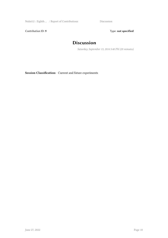NuInt12 : Eighth … / Report of Contributions Discussion

Contribution ID: 9 Type: **not specified** 

## **Discussion**

*Saturday, September 13, 2014 5:40 PM (20 minutes)*

**Session Classification:** Current and future experiments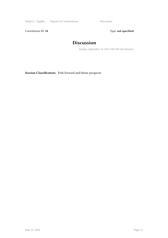NuInt12 : Eighth … / Report of Contributions Discussion

Contribution ID: 10 **Type:** not specified

## **Discussion**

*Sunday, September 14, 2014 9:00 AM (40 minutes)*

**Session Classification:** Path forward and future prospects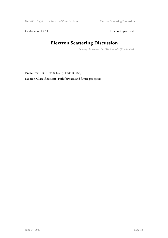NuInt12 : Eighth … / Report of Contributions **Electron Scattering Discussion** 

Contribution ID: 11 Type: **not specified** 

# **Electron Scattering Discussion**

*Sunday, September 14, 2014 9:40 AM (20 minutes)*

**Presenter:** Dr NIEVES, Juan (IFIC (CSIC-UV))

**Session Classification:** Path forward and future prospects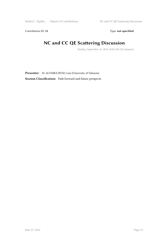Contribution ID: 12 Type: **not specified** 

# **NC and CC QE Scattering Discussion**

*Sunday, September 14, 2014 10:00 AM (20 minutes)*

**Presenter:** Dr ALVAREZ-RUSO, Luis (University of Valencia) **Session Classification:** Path forward and future prospects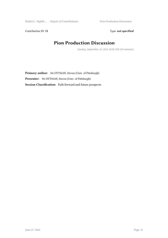Contribution ID: 13 Type: **not specified** 

## **Pion Production Discussion**

*Sunday, September 14, 2014 10:20 AM (20 minutes)*

**Primary author:** Mr DYTMAN, Steven (Univ. of Pittsburgh) **Presenter:** Mr DYTMAN, Steven (Univ. of Pittsburgh) **Session Classification:** Path forward and future prospects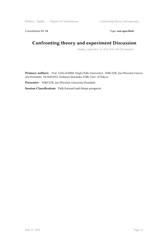Contribution ID: 14 Type: **not specified** 

# **Confronting theory and experiment Discussion**

*Sunday, September 14, 2014 10:40 AM (20 minutes)*

**Primary authors:** Prof. GALLAGHER, Hugh (Tufts University); SOBCZYK, Jan (Wroclaw University/Fermilab); Dr HAYATO, Yoshinari (Kamioka, ICRR, Univ. of Tokyo)

**Presenter:** SOBCZYK, Jan (Wroclaw University/Fermilab)

**Session Classification:** Path forward and future prospects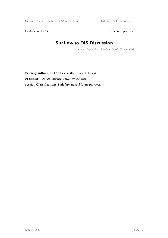Contribution ID: 15 Type: **not specified** 

## **Shallow to DIS Discussion**

*Sunday, September 14, 2014 11:00 AM (20 minutes)*

**Primary author:** Dr RAY, Heather (University of Florida) Presenter: Dr RAY, Heather (University of Florida) **Session Classification:** Path forward and future prospects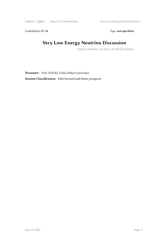NuInt12 : Eighth … / Report of Contributions Very Low Energy Neutrino Discus …

Contribution ID: 16 Type: not specified

# **Very Low Energy Neutrino Discussion**

*Sunday, September 14, 2014 11:50 AM (20 minutes)*

**Presenter:** Prof. SUZUKI, Toshio (Nihon University)

**Session Classification:** Path forward and future prospects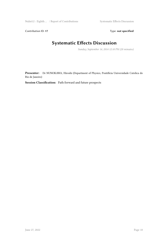Contribution ID: 17 Type: **not specified** 

# **Systematic Effects Discussion**

*Sunday, September 14, 2014 12:10 PM (20 minutes)*

**Presenter:** Dr NUNOKAWA, Hiroshi (Department of Physics, Pontificia Universidade Catolica do Rio de Janeiro)

**Session Classification:** Path forward and future prospects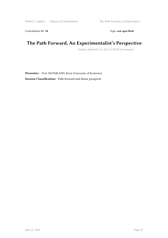Contribution ID: 18 Type: **not specified** 

## **The Path Forward, An Experimentalist's Perspective**

*Sunday, September 14, 2014 12:30 PM (30 minutes)*

Presenter: Prof. MCFARLAND, Kevin (University of Rochester) **Session Classification:** Path forward and future prospects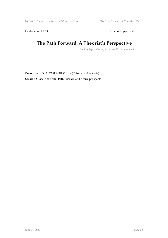Contribution ID: 19 Type: **not specified** 

# **The Path Forward, A Theorist's Perspective**

*Sunday, September 14, 2014 1:00 PM (30 minutes)*

**Presenter:** Dr ALVAREZ-RUSO, Luis (University of Valencia) **Session Classification:** Path forward and future prospects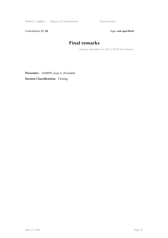NuInt12 : Eighth ... / Report of Contributions Final remarks

Contribution ID: 20 Type: **not specified** 

# **Final remarks**

*Sunday, September 14, 2014 1:30 PM (20 minutes)*

**Presenter:** MORFIN, Jorge G. (Fermilab) **Session Classification:** Closing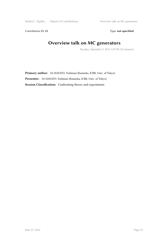NuInt12 : Eighth ... / Report of Contributions Overview talk on MC generators

Contribution ID: 21 Type: **not specified** 

## **Overview talk on MC generators**

*Tuesday, September 9, 2014 1:30 PM (30 minutes)*

**Primary author:** Dr HAYATO, Yoshinari (Kamioka, ICRR, Univ. of Tokyo) **Presenter:** Dr HAYATO, Yoshinari (Kamioka, ICRR, Univ. of Tokyo) **Session Classification:** Confronting theory and experiments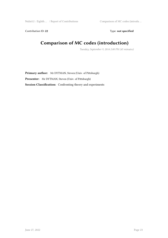Contribution ID: 22 Type: **not specified** 

# **Comparison of MC codes (introduction)**

*Tuesday, September 9, 2014 2:00 PM (45 minutes)*

**Primary author:** Mr DYTMAN, Steven (Univ. of Pittsburgh) **Presenter:** Mr DYTMAN, Steven (Univ. of Pittsburgh) **Session Classification:** Confronting theory and experiments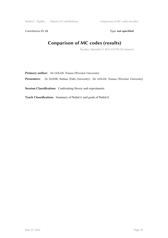NuInt12 : Eighth ... / Report of Contributions Conparison of MC codes (results)

Contribution ID: 23 Type: **not specified** 

# **Conparison of MC codes (results)**

*Tuesday, September 9, 2014 2:45 PM (45 minutes)*

**Primary author:** Mr GOLAN, Tomasz (Wroclaw University)

**Presenters:** Dr MAYER, Nathan (Tufts University); Mr GOLAN, Tomasz (Wroclaw University)

**Session Classification:** Confronting theory and experiments

**Track Classification:** Summary of NuInt11 and goals of NuInt12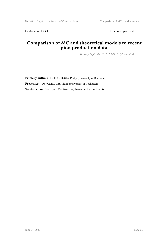Contribution ID: 24 Type: **not specified** 

#### **Comparison of MC and theoretical models to recent pion production data**

*Tuesday, September 9, 2014 4:00 PM (30 minutes)*

**Primary author:** Dr RODRIGUES, Philip (University of Rochester) **Presenter:** Dr RODRIGUES, Philip (University of Rochester) **Session Classification:** Confronting theory and experiments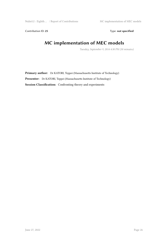Contribution ID: 25 Type: **not specified** 

# **MC implementation of MEC models**

*Tuesday, September 9, 2014 4:30 PM (30 minutes)*

**Primary author:** Dr KATORI, Teppei (Massachusetts Institute of Technology) **Presenter:** Dr KATORI, Teppei (Massachusetts Institute of Technology) **Session Classification:** Confronting theory and experiments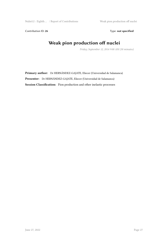NuInt12 : Eighth ... / Report of Contributions Weak pion production off nuclei

Contribution ID: 26 Type: **not specified** 

# **Weak pion production off nuclei**

*Friday, September 12, 2014 9:00 AM (30 minutes)*

**Primary author:** Dr HERNÁNDEZ-GAJATE, Eliecer (Universidad de Salamanca) **Presenter:** Dr HERNÁNDEZ-GAJATE, Eliecer (Universidad de Salamanca) **Session Classification:** Pion production and other inelastic processes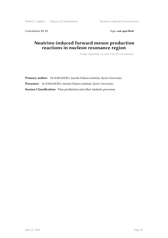NuInt12 : Eighth ... / Report of Contributions Neutrino-induced forward meson ...

Contribution ID: 27 Type: **not specified** 

#### **Neutrino-induced forward meson production reactions in nucleon resonance region**

*Friday, September 12, 2014 9:30 AM (30 minutes)*

**Primary author:** Dr NAKAMURA, Satoshi (Yukawa Institute, Kyoto University) **Presenter:** Dr NAKAMURA, Satoshi (Yukawa Institute, Kyoto University) **Session Classification:** Pion production and other inelastic processes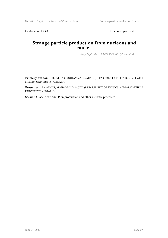Contribution ID: 28 Type: **not specified** 

#### **Strange particle production from nucleons and nuclei**

*Friday, September 12, 2014 10:00 AM (30 minutes)*

**Primary author:** Dr ATHAR, MOHAMMAD SAJJAD (DEPARTMENT OF PHYSICS, ALIGARH MUSLIM UNIVERSITY, ALIGARH)

**Presenter:** Dr ATHAR, MOHAMMAD SAJJAD (DEPARTMENT OF PHYSICS, ALIGARH MUSLIM UNIVERSITY, ALIGARH)

**Session Classification:** Pion production and other inelastic processes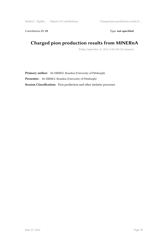Contribution ID: 29 Type: **not specified** 

# **Charged pion production results from MINERnA**

*Friday, September 12, 2014 11:00 AM (20 minutes)*

**Primary author:** Mr EBERLY, Brandon (University of Pittsburgh) **Presenter:** Mr EBERLY, Brandon (University of Pittsburgh) **Session Classification:** Pion production and other inelastic processes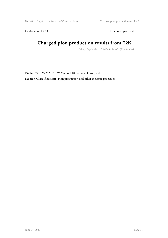Contribution ID: 30 Type: not specified

# **Charged pion production results from T2K**

*Friday, September 12, 2014 11:20 AM (20 minutes)*

**Presenter:** Mr MATTHEW, Murdoch (University of Liverpool) **Session Classification:** Pion production and other inelastic processes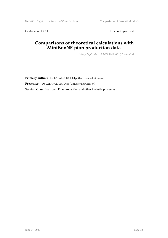NuInt12 : Eighth ... / Report of Contributions Comparisons of theoretical calcula ...

Contribution ID: 31 Type: **not specified** 

#### **Comparisons of theoretical calculations with MiniBooNE pion production data**

*Friday, September 12, 2014 11:40 AM (25 minutes)*

**Primary author:** Dr LALAKULICH, Olga (Universitaet Giessen) **Presenter:** Dr LALAKULICH, Olga (Universitaet Giessen) **Session Classification:** Pion production and other inelastic processes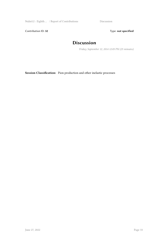NuInt12 : Eighth … / Report of Contributions Discussion

Contribution ID: 32 Type: **not specified** 

## **Discussion**

*Friday, September 12, 2014 12:05 PM (25 minutes)*

**Session Classification:** Pion production and other inelastic processes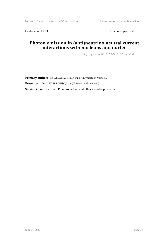Contribution ID: 33 Type: **not specified** 

#### **Photon emission in (anti)neutrino neutral current interactions with nucleons and nuclei**

*Friday, September 12, 2014 2:00 PM (30 minutes)*

**Primary author:** Dr ALVAREZ-RUSO, Luis (University of Valencia) **Presenter:** Dr ALVAREZ-RUSO, Luis (University of Valencia) **Session Classification:** Pion production and other inelastic processes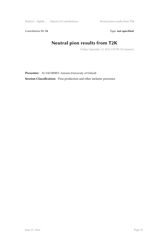Contribution ID: 34 Type: **not specified** 

# **Neutral pion results from T2K**

*Friday, September 12, 2014 2:30 PM (20 minutes)*

**Presenter:** Dr VACHERET, Antonin (University of Oxford) **Session Classification:** Pion production and other inelastic processes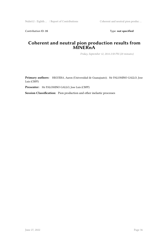Contribution ID: 35 Type: **not specified** 

### **Coherent and neutral pion production results from MINERnA**

*Friday, September 12, 2014 2:50 PM (20 minutes)*

**Primary authors:** HIGUERA, Aaron (Universidad de Guanajuato); Mr PALOMINO GALLO, Jose Luis (CBPF)

**Presenter:** Mr PALOMINO GALLO, Jose Luis (CBPF)

**Session Classification:** Pion production and other inelastic processes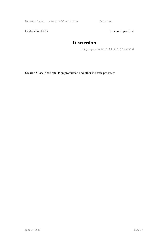NuInt12 : Eighth … / Report of Contributions Discussion

Contribution ID: 36 Type: **not specified** 

# **Discussion**

*Friday, September 12, 2014 3:10 PM (20 minutes)*

**Session Classification:** Pion production and other inelastic processes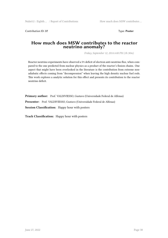Contribution ID: **37** Type: **Poster**

#### **How much does MSW contributes to the reactor neutrino anomaly?**

*Friday, September 12, 2014 6:00 PM (1h 30m)*

Reactor neutrino experiments have observed a 5% deficit of electron anti-neutrino flux, when compared to the one predicted from nuclear physics as a product of the reactor's fission chains. One aspect that might have been overlooked in the literature is the contribution from extreme nonadiabatic effects coming from "decompression" when leaving the high density nuclear fuel rods. This work explores a analytic solution for this effect and presents its contribution to the reactor neutrino deficit.

**Primary author:** Prof. VALDIVIESSO, Gustavo (Universidade Federal de Alfenas) **Presenter:** Prof. VALDIVIESSO, Gustavo (Universidade Federal de Alfenas) **Session Classification:** Happy hour with posters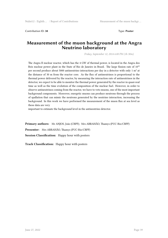Contribution ID: **38** Type: **Poster**

#### **Measurement of the muon background at the Angra Neutrino laboratory**

*Friday, September 12, 2014 6:00 PM (1h 30m)*

The Angra II nuclear reactor, which has the 4 GW of thermal power, is located in the Angra dos Reis nuclear power plant in the State of Rio de Janeiro in Brazil. The large fission rate of 10<sup>20</sup> per second produce about 5000 antineutrino interactions per day in a detector with only 1  $m<sup>3</sup>$  at the distance of 30 m from the reactor core. As the flux of antineutrinos is proportional to the thermal power delivered by the reactor, by measuring the interaction rate of antineutrinos in the detector, we expect to be able to monitor the thermal power generated by the reactor in quasi-real time as well as the time evolution of the composition of the nuclear fuel. However, in order to observe antineutrinos coming from the reactor, we have to veto muons, one of the most important background components. Moreover, energetic muons can produce neutrons through the process of spallation that can mimic the neutrons generated by the neutrino interaction, increasing the background. In this work we have performed the measurement of the muon flux at sea level as these data are very

important to estimate the background level in the antineutrino detector.

**Primary authors:** Mr ANJOS, João (CBPF); Mrs ABRAHÃO, Thamys (PUC-Rio/CBPF) **Presenter:** Mrs ABRAHÃO, Thamys (PUC-Rio/CBPF) **Session Classification:** Happy hour with posters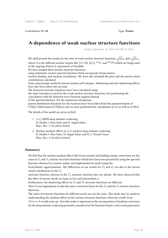Contribution ID: 39 Type: **Poster** 

## **A-dependence of weak nuclear structure functions**

*Friday, September 12, 2014 6:00 PM (1h 30m)*

We shall present the results for the ratio of weak nuclear structure functions  $\frac{F_2^A}{F_3^{proton}}$  and  $\frac{F_3^A}{F_3^{proton}}$ , where A is the different nuclear targets like  ${}^{2}_{1}D$ , CH,  $H_{2}O$ ,  ${}^{56}Fe$  and  ${}^{208}Pb$  which are being used in the ongoing Miner*ν*A experiment at Fermilab. We have studied these nuclear structure functions using relativistic nuclear spectral function which incorporate Fermi motion, nuclear binding, and nucleon correlations. We have also included the pion and rho meson cloud contributions calculated from a microscopic model for meson-nucleus self-energies. Shadowing and anti-shadowing effects have also been taken into account. The deuteron structure functions have been calculated using the same formulas as used for the weak nuclear structure functions, but performing the convolution with the deuteron wave function squared instead of the spectral function. For the numerical calculations, parton distribution functions for the nucleons have been taken from the parametrization of CTEQ Collaboration (CTEQ6.6) and we have performed the calculations at LO as well as at NLO.

The details of the model are given in Refs.

- 1.  $\nu(\bar{\nu})$ -208Pb deep inelastic scattering. H. Haider, I. Ruiz Simo and M. Sajjad Athar Phys. Rev. C 85 (2012) 055201.
- 2. Nuclear medium effects in  $\nu(\bar{\nu})$ -nucleus deep inelastic scattering. H. Haider, I. Ruiz Simo, M. Sajjad Athar and M. J. Vicente Vacas Phys. Rev. C 84 (2011) 054610

#### **Summary**

We find that the nuclear medium effects like Fermi motion and binding energy corrections are the same in *F*<sup>2</sup> and *F*<sup>3</sup> nuclear structure functions which have been incorporated by using the spectral function obtained for nuclear matter and implemented in nuclei using the

local-density approximation. The differences in our results for  $F_2$  and  $F_3$  are due to the meson cloud contributions in the *F*<sup>2</sup>

structure function whereas in the  $F_3$  structure function they are absent. We have observed that the effect of meson clouds are large at low and intermediate x.

Furthermore, the shadowing effects in  $F_2$  and  $F_3$  structure functions are different.

Thus it is not appropriate to take the same correction factor for the  $F_2$  and the  $F_3$  nuclear structure functions.

The ratios of structure functions for different nuclei are not the same. This study may be useful in understanding the medium effects in the nuclear structure functions when the results from

*MinervA* would come up. Also this study is important in the incorporation of medium correction for the deep inelastic scattering presently considered in the Neutrino Monte Carlo event generators.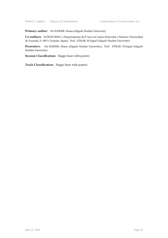**Primary author:** Ms HAIDER, Huma (Aligarh Muslim University)

**Co-authors:** Dr RUIZ SIMO, I. (Departamento de F\'isica At\'omica Molecular y Nuclear, Universidad de Granada, E-18071 Granada, Spain); Prof. ATHAR, M.Sajjad (Aligarh Muslim University)

**Presenters:** Ms HAIDER, Huma (Aligarh Muslim University); Prof. ATHAR, M.Sajjad (Aligarh Muslim University)

**Session Classification:** Happy hour with posters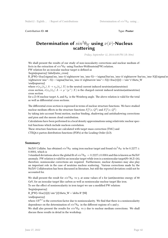Determination of  $sin^2\theta_W$  using ...

Contribution ID: **40** Type: **Poster**

## Determination of  $sin^2\theta_W$  using  $\nu(\bar{\nu})$ -Nucleus **scattering**

*Friday, September 12, 2014 6:00 PM (1h 30m)*

We shall present the results of our study of non-isoscalarity corrections and nuclear medium effects in the extraction of  $sin^2\theta_W$  using Paschos-Wolfenstein(PW) relation.

PW relation for an isoscalar nuclear target is defined as

\begin{eqnarray} \label{ratio\_cross}

R\_{PW}=\frac{\sigma(\nu\_\mu~A \rightarrow \nu\_\mu~X)~-~\sigma(\bar\nu\_\mu~A \rightarrow \bar\nu\_\mu~X)}{\sigma(\nu  $\rightarrow \mu^*-X$  =-\sigma(\bar\nu \mu~A \rightarrow \mu^+~X)}=\frac{1}{2}~-~\sin^2 \theta W \end{eqnarray}

where  $\sigma(\nu_{\mu}(\bar{\nu}_{\mu}) A \rightarrow \nu_{\mu}(\bar{\nu}_{\mu}) X$  is the neutral current induced neutrino(antineutrino) cross section,  $\sigma(\nu_{\mu}(\bar{\nu}_{\mu}) A \to \mu^{-}(\mu^{+}) X)$  is the charged current induced neutrino(antineutrino) cross section

for a Z=N nuclear target A, and  $\theta_W$  is the Weinberg angle. The above relation is valid for the total as well as differential cross sections.

The differential cross section is expressed in terms of nuclear structure functions. We have studied nuclear medium effects in the structure functions  $F_2^A(x,Q^2)$  and  $F_3^A(x,Q^2)$ 

by taking into account Fermi motion, nuclear binding, shadowing and antishadowing corrections and pion and rho meson cloud contribution.

Calculations have been performed in a local density approximations using relativistic nuclear spectral functions which include nucleon correlation.

These structure functions are calculated with target mass correction (TMC) and CTEQ6.6 parton distribution functions (PDFs) at the Leading-Order (LO).

#### **Summary**

NuTeV Collabn. has obtained  $sin^2\theta_W$  using iron nuclear target and found  $sin^2\theta_W$  to be  $0.2277 \pm$ 0*.*0004, which is

3 standard deviations above the global fit of  $sin^2\theta_W = 0.2227 \pm 0.0004$  and this is known as NuTeV anomaly. PW relation is valid for an isoscalar target while iron is a nonisoscalar target(N=30,Z=26), therefore, nonisoscalar corrections are required. Furthermore, nuclear dynamics may also play an important role in the case of neutrino nucleus scattering. Various corrections made by the NuTeV Collaboration has been discussed in literature, but still the reported deviation could not be accounted for.

We shall present the result for  $sin^2\theta_W$  vs y, at some values of x for (anti)neutrino energy of 80 GeV, for an isoscalar target like carbon as well as nonisoscalar nuclear target like iron.

To see the effect of nonisoscalarity in iron target we use a modified PW relation:

\begin{eqnarray}

 $R_{PW}=\frac{1}{2}-\sin^{2}\theta_W + \delta R^{NI}$ 

\end{eqnarray}

where  $\delta R^{NI}$  is the correction factor due to nonisoscalarity. We find that there is a nonisoscalarity dependence on the determination of  $sin^2\theta_W$  in the different regions of **x** and **y**.

We shall also present the results for  $sin^2\theta_W$  vs y due to nuclear medium corrections. We shall discuss these results in detail in the workshop.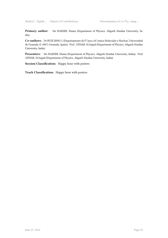**Primary author:** Ms HAIDER, Huma (Department of Physics, Aligarh Muslim University, India)

**Co-authors:** Dr RUIZ SIMO, I. (Departamento de F\'isica At\'omica Molecular y Nuclear, Universidad de Granada, E-18071 Granada, Spain); Prof. ATHAR, M.Sajjad (Department of Physics, Aligarh Muslim University, India)

**Presenters:** Ms HAIDER, Huma (Department of Physics, Aligarh Muslim University, India); Prof. ATHAR, M.Sajjad (Department of Physics, Aligarh Muslim University, India)

**Session Classification:** Happy hour with posters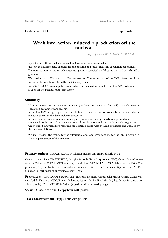Contribution ID: **41** Type: **Poster**

### **Weak interaction induced** *η***-production off the nucleon**

*Friday, September 12, 2014 6:00 PM (1h 30m)*

*η* production off the nucleon induced by (anti)neutrinos is studied at

the low and intermediate energies for the ongoing and future neutrino oscillation experiments.

The non-resonant terms are calculated using a microscopical model based on the SU(3) chiral Lagrangians.

We consider  $S_{11}(1535)$  and  $S_{11}(1650)$  resonances. The vector part of the N- $S_{11}$  transition form factor has been obtained from the helicity amplitudes

using MAID(2007) data, dipole form is taken for the axial form factor and the PCAC relation is used for the pseudoscalar form factor.

#### **Summary**

Most of the neutrino experiments are using (anti)neutrino beam of a few GeV, to which neutrino oscillation parameters are sensitive.

In the few GeV energy region the contribution to the cross section comes from the quasielastic, inelastic as well as the deep inelastic processes.

Inelastic channel includes, one or multi pion production, kaon production, *η* production, associated production of particles and so on. It has been realised that the Monte Carlo generators which were being used for predicting the neutrino event rates should be revisited and updated by the new calculations.

We shall present the results for the differential and total cross sections for the (anti)neutrino induced *η*-production off the nucleon.

**Primary author:** Mr RAFI ALAM, M (aligarh muslim university, aligarh, india)

**Co-authors:** Dr ALVAREZ-RUSO, Luis (Instituto de Física Corpuscular (IFIC), Centro Mixto Universidad de Valencia ‐ CSIC, E‐46071 Valencia, Spain); Prof. VICENTE VACAS, M J (Instituto de Física Corpuscular (IFIC), Centro Mixto Universidad de Valencia ‐ CSIC, E‐46071 Valencia, Spain); Prof. ATHAR, M Sajjad (aligarh muslim university, aligarh, india)

**Presenters:** Dr ALVAREZ-RUSO, Luis (Instituto de Física Corpuscular (IFIC), Centro Mixto Universidad de Valencia ‐ CSIC, E‐46071 Valencia, Spain); Mr RAFI ALAM, M (aligarh muslim university, aligarh, india); Prof. ATHAR, M Sajjad (aligarh muslim university, aligarh, india)

**Session Classification:** Happy hour with posters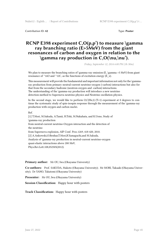Contribution ID: **42** Type: **Poster**

## **RCNP E398 experiment C,O(p,p') to measure \gamma ray branching ratio (E>5MeV) from the giant resonances of carbon and oxygen in relation to the \gamma ray production in C,O(\nu,\nu').**

*Friday, September 12, 2014 6:00 PM (1h 30m)*

We plan to measure the branching ratios of  $\gamma$ -ray emission (E\_\gamma >5 MeV) from giant resonance of  $\triangle$ 16O and  $\triangle$ 12C, as the functions of excitation energy (E\_x).

This measurement will provide the fundamental and important information not only for the \gammaray production from primary neutral-current neutrino-oxygen (-carbon) interactions but also for that from the secondary hadronic (neutron-oxygen and -carbon) interactions. The understanding of the \gamma-ray production will introduce a new neutrino detection method to Supernova neutrino physics and Neutrino oscillation physics.

In the second stage, we would like to perform  $O(C(He, t)$  (T=1) experiment at 0 degrees to continue the systematic study of spin-isospin response through the measurement of the \gamma-ray production with oxygen and carbon nuclei.

Ref.

[1] T.Mori, M.Sakuda, A.Tamii, H.Toki, M.Nakahata, and K.Ueno, Study of \gamma-ray production from neutral-current neutrino-Oxygen interaction and the detection of the neutrino from Supernova explosion, AIP Conf. Proc.1269, 418-420, 2010. [2] A.Ankowski,O.Benhar,T.Mori,R.Yamaguchi,and M.Sakuda, Analysis of \gamma-ray production in neutral-current neutrino-oxygen quasi-elastic interactions above 200 MeV, Phys.Rev.Lett.108,052505(2012).

#### **Primary author:** Mr OU, Iwa (Okayama University)

**Co-authors:** Prof. SAKUDA, Makoto (Okayama University); Mr MORI, Takaaki (Okayama University); Dr YANO, Takatomi (Okayama University)

**Presenter:** Mr OU, Iwa (Okayama University)

**Session Classification:** Happy hour with posters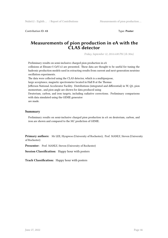Contribution ID: **43** Type: **Poster**

### **Measurements of pion production in eA with the CLAS detector**

*Friday, September 12, 2014 6:00 PM (1h 30m)*

Preliminary results on semi-inclusive charged pion production in eA collisions at Ebeam=5 GeV/c2 are presented. These data are thought to be useful for tuning the hadronic production models used in extracting results from current and next-generation neutrino oscillation experiments.

The data were collected using the CLAS detector, which is a multipurpose,

large acceptance, magnetic spectrometer located in Hall B at the Thomas

Jefferson National Accelerator Facility. Distributions (integrated and differential) in W, Q2, pion momentum , and pion angle are shown for data produced using

Deuterium, carbon, and iron targets, including radiative corrections. Preliminary comparisons with data simulated using the GENIE generator

are made.

#### **Summary**

Preliminary results on semi-inclusive charged pion production in eA on deuterium, carbon, and iron are shown and compared to the MC prediction of GENIE.

**Primary authors:** Mr LEE, Hyupwoo (University of Rochester); Prof. MANLY, Steven (University of Rochester)

Presenter: Prof. MANLY, Steven (University of Rochester)

**Session Classification:** Happy hour with posters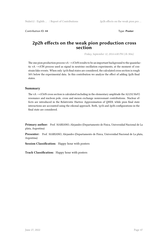Contribution ID: **44** Type: **Poster**

#### **2p2h effects on the weak pion production cross section**

*Friday, September 12, 2014 6:00 PM (1h 30m)*

The one pion production process  $vA \rightarrow A'l\pi N$  results to be an important background to the quasielactic  $vA \rightarrow A'lN$  process used as signal in neutrino oscillation experiments, at the moment of constrain fake events. When only 1p1h final states are considered, the calculated cross section is rough 50% below the experimental data. In this contribution we analyze the effect of adding 2p2h final states.

#### **Summary**

The vA  $\rightarrow$ A'lπN cross section is calculated including in the elementary amplitude the ∆(1232 MeV) resonance and nucleon pole, cross and meson exchange nonresonant contributions. Nuclear effects are introduced in the Relativistic Hartree Approximation of QHDI, while pion final state interactions are accounted using the eikonal approach. Both, 1p1h and 2p2h configurations in the final state are considered.

**Primary author:** Prof. MARIANO, Alejandro (Departamento de Física, Universidad Nacional de La plata, Argentina)

**Presenter:** Prof. MARIANO, Alejandro (Departamento de Física, Universidad Nacional de La plata, Argentina)

**Session Classification:** Happy hour with posters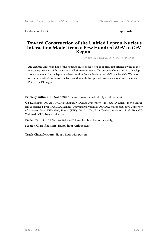Contribution ID: **45** Type: **Poster**

#### **Toward Construction of the Unified Lepton-Nucleus Interaction Model from a Few Hundred MeV to GeV Region**

*Friday, September 12, 2014 6:00 PM (1h 30m)*

An accurate understanding of the neutrino nucleus reactions is of great importance owing to the increasing precision of the neutrino oscillation experiments. The purpose of our study is to develop a reaction model for the lepton nucleus reaction from a few hundred MeV to a few GeV. We report on our analysis of the lepton nucleus reaction with the updated resonance model and the nuclear PDF in the DIS region.

**Primary author:** Dr NAKAMURA, Satoshi (Yukawa Institute, Kyoto University)

**Co-authors:** Dr KAMANO, Hiroyuki (RCNP, Osaka University); Prof. SAITO, Koichi (Tokyo University of Science); Prof. SAKUDA, Makoto (Okayama University); Dr HIRAI, Masanori (Tokyo University of Science); Prof. KUMANO, Shunzo (KEK); Prof. SATO, Toru (Osaka University); Prof. HAYATO, Yoshinari (ICRR, Tokyo University)

**Presenter:** Dr NAKAMURA, Satoshi (Yukawa Institute, Kyoto University)

**Session Classification:** Happy hour with posters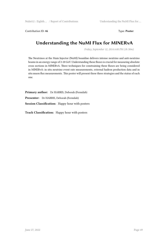Contribution ID: 46 Type: Poster

# **Understanding the NuMI Flux for MINERvA**

*Friday, September 12, 2014 6:00 PM (1h 30m)*

The Neutrinos at the Main Injector (NuMI) beamline delivers intense neutrino and anti-neutrino beams in an energy range of 2-20 GeV. Understanding these fluxes is crucial for measuring absolute cross sections in MINERvA. Three techniques for constraining these fluxes are being considered in MINERvA: in situ neutrino event rate measurements, external hadron production data and in situ muon flux measurements. This poster will present these three strategies and the status of each one.

**Primary author:** Dr HARRIS, Deborah (Fermilab) **Presenter:** Dr HARRIS, Deborah (Fermilab) **Session Classification:** Happy hour with posters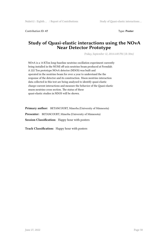Contribution ID: **47** Type: **Poster**

### **Study of Quasi-elastic interactions using the NOvA Near Detector Prototype**

*Friday, September 12, 2014 6:00 PM (1h 30m)*

NOvA is a 14 KTon long-baseline neutrino oscillation experiment currently being installed in the NUMI off-axis neutrino beam produced at Fermilab. A 222 Ton prototype NOvA detector (NDOS) was built and operated in the neutrino beam for over a year to understand the the response of the detector and its construction. Muon neutrino interaction data collected in this test are being analyzed to identify quasi-elastic charge-current interactions and measure the behavior of the Quasi-elastic muon neutrino cross section. The status of these quasi-elastic studies in NDOS will be shown.

**Primary author:** BETANCOURT, Minerba (University of Minnesota)

**Presenter:** BETANCOURT, Minerba (University of Minnesota)

**Session Classification:** Happy hour with posters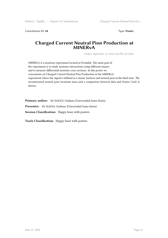Contribution ID: **48** Type: **Poster**

### **Charged Current Neutral Pion Production at MINERvA**

*Friday, September 12, 2014 6:00 PM (1h 30m)*

MINERvA is a neutrino experiment located at Fermilab. The main goal of the experiment is to study neutrino interactions using different targets and to measure differential neutrino cross sections. In this poster we concentrate on Charged Current Neutral Pion Production at the MINERvA experiment where the signal is defined as a muon, nucleon and neutral pion in the final state. The reconstructed neutral pion invariant mass and a comparison between data and Monte Carlo is shown.

**Primary author:** Mr MAGGI, Giuliano (Universidad Santa María) **Presenter:** Mr MAGGI, Giuliano (Universidad Santa María) **Session Classification:** Happy hour with posters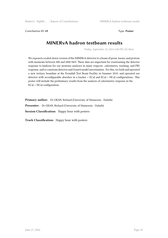Contribution ID: 49 Type: **Poster** 

# **MINERvA hadron testbeam results**

*Friday, September 12, 2014 6:00 PM (1h 30m)*

We exposed a scaled-down version of the MINERvA detector to a beam of pions, kaons, and protons with momenta between 400 and 2000 MeV. These data are important for constraining the detector response to hadrons for our neutrino analyses in many respects: calorimetry, tracking, and PID response, and to constrain detector and Geant4 model uncertainties. For this, we built and operated a new tertiary beamline at the Fermilab Test Beam Facility in Summer 2010, and operated our detector with reconfigurable absorber in a tracker + ECal and ECal + HCal configurations. This poster will include the preliminary results from the analysis of calorimetric response in the ECal + HCal configuration.

**Primary author:** Dr GRAN, Richard (University of Minnesota - Duluth) **Presenter:** Dr GRAN, Richard (University of Minnesota - Duluth) **Session Classification:** Happy hour with posters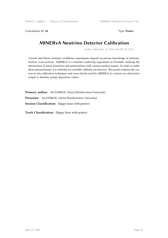Contribution ID: 50 Type: **Poster** 

# **MINERvA Neutrino Detector Calibration**

*Friday, September 12, 2014 6:00 PM (1h 30m)*

Current and future neutrino oscillation experiments depend on precise knowledge of neutrinonucleus cross-sections. MINERvA is a neutrino scattering experiment at Fermilab, studying the interactions of muon neutrinos and antineutrinos with various nuclear targets. In order to make these measurements, it is vital that we carefully calibrate our detector. This poster explains the various in situ calibration techniques and cross-checks used by MINERvA to convert our electronics output to absolute energy deposition values.

**Primary author:** Ms PATRICK, Cheryl (Northwestern University) **Presenter:** Ms PATRICK, Cheryl (Northwestern University) **Session Classification:** Happy hour with posters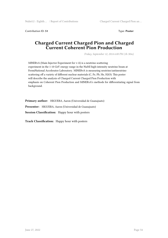Contribution ID: **51** Type: **Poster**

### **Charged Current Charged Pion and Charged Current Coherent Pion Production**

*Friday, September 12, 2014 6:00 PM (1h 30m)*

MINERvA (Main Injector Experiment for v-A) is a neutrino scattering experiment in the 1-10 GeV energy range in the NuMI high-intensity neutrino beam at FermiNational Accelerator Laboratory. MINERvA is measuring neutrino/antineutrino scattering off a variety of different nuclear materials (C, Fe, Pb, He, H2O). This poster will describe the analysis of Charged Current Charged Pion Production with emphasis on Coherent Pion Production and MINERvA's methods for differentiating signal from background.

**Primary author:** HIGUERA, Aaron (Universidad de Guanajuato) **Presenter:** HIGUERA, Aaron (Universidad de Guanajuato) **Session Classification:** Happy hour with posters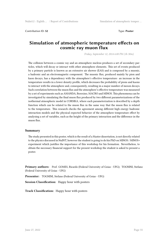Contribution ID: **52** Type: **Poster**

#### **Simulation of atmospheric temperature effects on cosmic ray muon flux**

*Friday, September 12, 2014 6:00 PM (1h 30m)*

The collision between a cosmic ray and an atmosphere nucleus produces a set of secondary particles, which will decay or interact with other atmosphere elements. This set of events produced by a primary particle is known as an extensive air shower (EAS) and is composed by a muonic, a hadronic and an electromagnetic component. The muonic flux, produced mainly by pion and kaon decays, has a dependency with the atmosphere's effective temperature: an increase in the temperature results in a lower density profile, which decreases the probability of pions and kaons to interact with the atmosphere and, consequentely, resulting in a major number of meson decays. Such correlation between the muon flux and the atmosphere's effective temperature was measured by a set of experiments such as AMANDA, Borexino, MACRO and MINOS. This phenomena can be investigated by simulating the final muon flux produced by two different parameterizations of the isothermal atmospheric model in CORSIKA, where each parameterization is described by a depth function which can be related to the muon flux in the same way that the muon flux is related to the temperature. This research checks the agreement among different high energy hadronic interaction models and the physical expected behavior of the atmosphere temperature effect by analysing a set of variables, such as the height of the primary interaction and the difference in the muon flux.

#### **Summary**

The study presented in this poster, which is the result of a Master dissertation, is not directly related to the physics discussed in NuINT, however the student is going to do his PhD on MINOS / MINOS+ experiment which justifies the importance of this workshop for his formation. Nevertheless, to obtain the necessary financial support for the present workshop the student is asked to present a poster.

**Primary authors:** Prof. GOMES, Ricardo (Federal University of Goias - UFG); TOGNINI, Stefano (Federal University of Goias - UFG)

**Presenter:** TOGNINI, Stefano (Federal University of Goias - UFG)

**Session Classification:** Happy hour with posters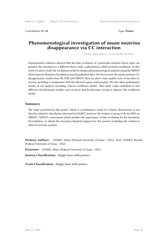Contribution ID: **53** Type: **Poster**

### **Phenomenological investigation of muon neutrino disappearance via CC interaction**

*Friday, September 12, 2014 6:00 PM (1h 30m)*

Experimental evidences showed that the time evolution of a particular neutrino flavor state can produce the transition to a different flavor state, a phenomena called neutrino oscillation. In this work we aim to study the oscillation model by doing a phenomenological analysis using the MINOS (Main Injector Neutrino Oscillation Search) published data. We first review the muon neutrino CC disappearance results from SK, K2K and MINOS, then we show some quality tests of the data extracted, including a comparison with the allowed region contour plots. We also show preliminary results of our analysis including 3-flavor oscillation model. This study could contribute to test different sub-dominant models, such as decay and decoherence, trying to improve the oscillation model.

#### **Summary**

The study presented in this poster, which is a preliminary result of a Master dissertation, is not directly related to the physics discussed in NuINT, however the student is going to do his PhD on MINOS / MINOS+ experiment which justifies the importance of this workshop for his formation. Nevertheless, to obtain the necessary financial support for the present workshop the student is asked to present a poster.

**Primary authors:** GOMES, Abner (Federal University of Goias - UFG); Prof. GOMES, Ricardo (Federal University of Goias - UFG)

**Presenter:** GOMES, Abner (Federal University of Goias - UFG)

**Session Classification:** Happy hour with posters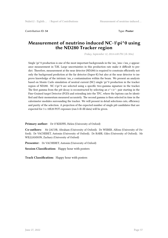Contribution ID: **54** Type: **Poster**

### **Measurement of neutrino induced NC-1\pi^0 using the ND280 Tracker region**

*Friday, September 12, 2014 6:00 PM (1h 30m)*

Single  $\pi^0$  production is one of the most important backgrounds in the  $\nu_\mu$ - $\nu_e$  appearance measurement in T2K. Large uncertainties in this production rate make it difficult to predict. Therefore, measurement at the near detector (ND280) is required to constrain efficiently not only the background prediction at the far detector (Super-K) but also at the near detector to improve knowledge of the intrinsic \nu\_e contamination within the beam. We present an analysis based on Monte Carlo simulation of neutral current (NC) single \pi^0 production in the tracker region of ND280. NC-1\pi^0 are selected using a specific two-gamma signature in the tracker. The first gamma from the pi0 decay is reconstructed by selecting an  $e^{\lambda}$ +/ $e^{\lambda}$ - pair starting in the Fine-Grained target Detector (FGD) and extending into the TPC, where the leptons can be identified and their momentum measured accurately. The second gamma is then selected in time in the calorimeter modules surrounding the tracker. We will present in detail selections cuts, efficiency and purity of the selection. A projection of the expected number of single pi0 candidates that are expected for 3 x 10E20 POT exposure (run I+II+III data) will be given.

**Primary author:** Dr O'KEEFFE, Helen (University of Oxford)

**Co-authors:** Mr JACOB, Abraham (University of Oxford); Dr WEBER, Alfons (University of Oxford); Dr VACHERET, Antonin (University of Oxford); Dr BARR, Giles (University of Oxford); Mr WILLIAMSON, Zachary (University of Oxford)

**Presenter:** Dr VACHERET, Antonin (University of Oxford)

**Session Classification:** Happy hour with posters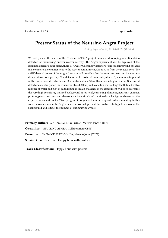Contribution ID: **55** Type: **Poster**

# **Present Status of the Neutrino Angra Project**

*Friday, September 12, 2014 6:00 PM (1h 30m)*

We will present the status of the Neutrino ANGRA project, aimed at developing an antineutrino detector for monitoring nuclear reactor activity. The Angra experiment will be deployed at the Brazilian nuclear power plant Angra II. A water Cherenkov detector of one ton target will be placed in a commercial container next to the reactor containment, about 30 m from the reactor core. The 4 GW thermal power of the Angra II reactor will provide a few thousand antineutrino inverse beta decay interactions per day. The detector will consist of three subsystems: 1) a muon veto placed in the outer most detector layer; 2) a neutron shield 30cm thick consisting of water; 3) a central detector consisting of an inner neutron shield (20cm) and a one ton central target both filled with a mixture of water and 0.2% of gadolinium.The main challenge of the experiment will be to overcome the very high cosmic ray induced background at sea level, consisting of muons, neutrons, gammas, protons, pions, positrons and electrons.We have simulated the signal and background events at the expected rates and used a Mixer program to organize them in temporal order, simulating in this way the real events in the Angra detector. We will present the analysis strategy to overcome the background and extract the number of antineutrino events.

**Primary author:** Mr NASCIMENTO SOUZA, Marcelo Jorge (CBPF) **Co-author:** NEUTRINO ANGRA, Collaboration (CBPF) **Presenter:** Mr NASCIMENTO SOUZA, Marcelo Jorge (CBPF) **Session Classification:** Happy hour with posters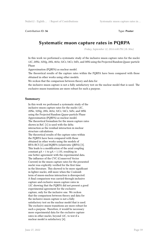Contribution ID: **56** Type: **Poster**

## **Systematic muon capture rates in PQRPA**

*Friday, September 12, 2014 6:00 PM (1h 30m)*

In this work we performed a systematic study of the inclusive muon capture rates for the nuclei 12C, 20Ne, 32Mg, 28Si, 40Ar, 52Cr, 54Cr, 56Fe, and 58Ni using the Projected Random Quase-particle Phase

Approximation (PQRPA) as nuclear model.

The theoretical results of the capture rates within the PQRPA have been compared with those obtained in other works using other models.

We reckon that the comparison between theory and data for

the inclusive muon capture is not a fully satisfactory test on the nuclear model that is used. The exclusive muon transitions are more robust for such a purpose.

#### **Summary**

In this work we performed a systematic study of the inclusive muon capture rates for the nuclei 12C, 20Ne, 32Mg, 28Si, 40Ar, 52Cr, 54Cr, 56Fe, and 58Ni using the Projected Random Quase-particle Phase Approximation (PQRPA) as nuclear model. The theoretical formalism for the muon capture rates shown in Ref. [1] is used with the delta interaction as the residual interaction in nuclear structure calculations. The theoretical results of the capture rates within the PQRPA have been compared with those obtained in other works using the models of RPA+BCS [2] and RQRPA (relativistic QRPA) [3]. This leads to a modification of the axial coupling constant  $gA = 1$  to  $gA = 1.135$ , resulting in one better agreement with the experimental data. The influence of the CVC (Conserved Vector Current) in the muon capture rates for the presented nuclei was explicitly verified for the first time in the literature. This showed to be more significant in lighter nuclei, still more when the Coulomb term of muon-nucleus interaction is disrespected. A final comparison was carried through inclusive capture and exclusive muon capture rates in 12C showing that the PQRPA did not present a good experimental agreement for the exclusive capture, only for the inclusive one. We reckon that the comparison between theory and data for the inclusive muon capture is not a fully satisfactory test on the nuclear model that is used. The exclusive muon transitions are more robust for such a purpose. Therefore, it would be necessary more experimental data for the exclusive capture rates in other nuclei, beyond 12C, to test if a nuclear model is satisfactory [4].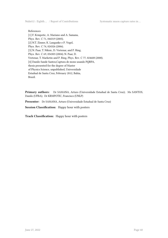NuInt12 : Eighth … / Report of Contributions Systematic muon capture rates in …

References

[1] F. Krmpotic, A. Mariano and A. Samana, Phys. Rev. C 71, 044319 (2005). [2] N.T. Zinner, K. Langanke e P. Vogel, Phys. Rev. C 74, 024326 (2006). [3] N. Paar, T. Niksic, D. Vretenar, and P. Ring, Phys. Rev. C 69, 054303 (2004); N. Paar, D. Vretenar, T. Marketin and P. Ring, Phys. Rev. C 77, 024608 (2008). [4] Danilo Sande Santos,Captura de mons usando PQRPA, thesis presented for the degree of Master of Physics Science, unpublished, Universidade Estadual de Santa Cruz, February 2012, Bahia, Brazil.

**Primary authors:** Dr SAMANA, Arturo (Universidade Estadual de Santa Cruz); Ms SANTOS, Danilo (UFBA); Dr KRMPOTIC, Francisco (UNLP)

**Presenter:** Dr SAMANA, Arturo (Universidade Estadual de Santa Cruz)

**Session Classification:** Happy hour with posters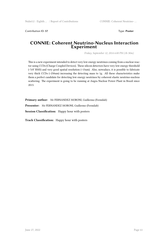Contribution ID: 57 Type: **Poster** 

#### **CONNIE: Coherent Neutrino-Nucleus Interaction Experiment**

*Friday, September 12, 2014 6:00 PM (1h 30m)*

This is a new experiment intended to detect very low energy neutrinos coming from a nuclear reactor using CCDs (Charge Coupled Devices). These silicon detectors have very low energy threshold (~7eV RMS) and very good spatial resolution (~15um). Also, nowadays, it is possible to fabricate very thick CCDs (~250um) increasing the detecting mass to 1g. All these characteristics make them a perfect candidate for detecting low energy neutrinos by coherent elastic neutrino-nucleus scattering. The experiment is going to be running at Angra Nuclear Power Plant in Brazil since 2013.

**Primary author:** Mr FERNANDEZ MORONI, Guillermo (Fermilab)

**Presenter:** Mr FERNANDEZ MORONI, Guillermo (Fermilab)

**Session Classification:** Happy hour with posters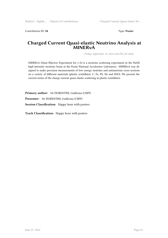Contribution ID: **58** Type: **Poster**

### **Charged Current Quasi-elastic Neutrino Analysis at MINERvA**

*Friday, September 12, 2014 6:00 PM (1h 30m)*

MINERvA (Main INjector Experiment for v-A) is a neutrino scattering experiment in the NuMI high-intensity neutrino beam at the Fermi National Accelerator Laboratory. MINERvA was designed to make precision measurements of low energy neutrino and antinuetrino cross sections on a variety of different materials (plastic scintillator, C, Fe, Pb, He and H2O). We present the current status of the charge current quasi-elastic scattering in plastic scintillator.

**Primary author:** Mr FIORENTINI, Guillermo (CBPF)

**Presenter:** Mr FIORENTINI, Guillermo (CBPF)

**Session Classification:** Happy hour with posters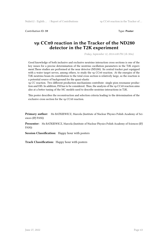Contribution ID: **59** Type: **Poster**

## **νμ CCπ0 reaction in the Tracker of the ND280 detector in the T2K experiment**

*Friday, September 12, 2014 6:00 PM (1h 30m)*

Good knowledge of both inclusive and exclusive neutrino interaction cross sections is one of the key issues for a precise determination of the neutrino oscillation parameters in the T2K experiment.These studies are performed at the near detector (ND280). Its central tracker part equipped with a water target serves, among others, to study the  $\nu$ µ CC $\pi$ 0 reaction. At the energies of the T2K neutrino beam its contribution to the total cross section is relatively large, so the reaction is a potential source of background for the quasi-elastic

νμ CC reaction. Two different production mechanisms contribute: single pion resonanse production and DIS. In addition, FSI has to be considered. Thus, the analysis of the νμ CC $\pi$ 0 reaction aims also at a better tuning of the MC models used to describe neutrino interactions in T2K.

This poster describes the reconstruction and selection criteria leading to the determination of the exclusive cross section for the νμ  $CC\pi0$  reaction.

**Primary author:** Ms BATKIEWICZ, Marcela (Institute of Nuclear Physics Polish Academy of Sciences (IFJ PAN))

**Presenter:** Ms BATKIEWICZ, Marcela (Institute of Nuclear Physics Polish Academy of Sciences (IFJ PAN))

**Session Classification:** Happy hour with posters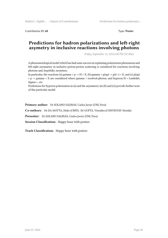Contribution ID: 60 Type: **Poster** 

### **Predictions for hadron polarizations and left-right asymetry in inclusive reactions involving photons**

*Friday, September 12, 2014 6:00 PM (1h 30m)*

A phenomenological model which has had some success in explaining polarization phenomena and left-right asymmetry in inclusive proton-proton scattering is considered for reactions involving photons and, hopefully, neutrinos.

In particular, the reactions (a) gamma + p -> H + X, (b) gamma + p(up) -> pi(+-) = X, and (c) p(up) + p -> gamma + X are considered where gamma = resolved photon, and hyperon H = Lambda0, Sigma+-, etc.

Predictions for hyperon polarization in (a) and the asymmetry (in (b) and (c)) provide further tests of this particular model.

**Primary author:** Dr SOLANO SALINAS, Carlos Javier (UNI, Peru)

**Co-authors:** Dr DA MOTTA, Helio (CBPF); Dr GUPTA, Virendra (CONVESTAV Merida)

**Presenter:** Dr SOLANO SALINAS, Carlos Javier (UNI, Peru)

**Session Classification:** Happy hour with posters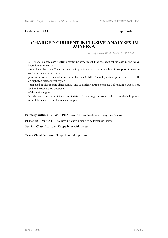Contribution ID: 61 **Type: Poster** 

#### **CHARGED CURRENT INCLUSIVE ANALYSES IN MINERvA**

*Friday, September 12, 2014 6:00 PM (1h 30m)*

MINERvA is a few-GeV neutrino scattering experiment that has been taking data in the NuMI beam line at Fermilab

since November 2009. The experiment will provide important inputs, both in support of neutrino oscillation searches and as a

pure weak probe of the nuclear medium. For this, MINERvA employs a fine-grained detector, with an eight ton active target region

composed of plastic scintillator and a suite of nuclear targets composed of helium, carbon, iron, lead and water placed upstream

of the active region.

In this poster, we present the current status of the charged current inclusive analysis in plastic scintillator as well as in the nuclear targets.

**Primary author:** Mr MARTINEZ, David (Centro Brasileiro de Pesquisas Fisicas)

**Presenter:** Mr MARTINEZ, David (Centro Brasileiro de Pesquisas Fisicas)

**Session Classification:** Happy hour with posters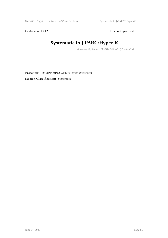Contribution ID: 62 Type: **not specified** 

# **Systematic in J-PARC/Hyper-K**

*Thursday, September 11, 2014 9:20 AM (25 minutes)*

Presenter: Dr MINAMINO, Akihiro (Kyoto University) **Session Classification:** Systematis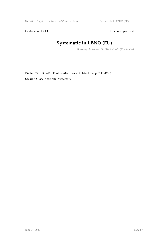Contribution ID: 63 Type: **not specified** 

# **Systematic in LBNO (EU)**

*Thursday, September 11, 2014 9:45 AM (25 minutes)*

Presenter: Dr WEBER, Alfons (University of Oxford & amp; STFC/RAL) **Session Classification:** Systematis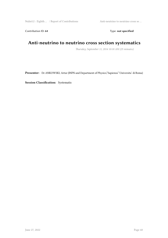Contribution ID: 64 Type: **not specified** 

# **Anti-neutrino to neutrino cross section systematics**

*Thursday, September 11, 2014 10:10 AM (25 minutes)*

**Presenter:** Dr ANKOWSKI, Artur (INFN and Department of Physics,"Sapienza" Universita' di Roma)

**Session Classification:** Systematis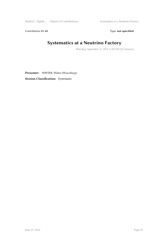NuInt12 : Eighth … / Report of Contributions Systematics at a Neutrino Factory

Contribution ID: 65 Type: **not specified** 

# **Systematics at a Neutrino Factory**

*Thursday, September 11, 2014 11:00 AM (25 minutes)*

**Presenter:** WINTER, Walter (Wuerzburg) **Session Classification:** Systematis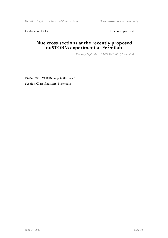NuInt12 : Eighth ... / Report of Contributions Nue cross-sections at the recently ...

Contribution ID: 66 Type: **not specified** 

### **Nue cross-sections at the recently proposed nuSTORM experiment at Fermilab**

*Thursday, September 11, 2014 11:25 AM (25 minutes)*

**Presenter:** MORFIN, Jorge G. (Fermilab) **Session Classification:** Systematis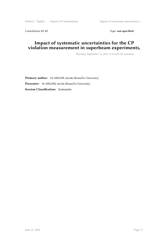NuInt12 : Eighth ... / Report of Contributions Impact of systematic uncertainties ...

Contribution ID: 67 Type: **not specified** 

# **Impact of systematic uncertainties for the CP violation measurement in superbeam experiments,**

*Thursday, September 11, 2014 11:50 AM (25 minutes)*

**Primary author:** Dr MELONI, davide (RomaTre University) Presenter: Dr MELONI, davide (RomaTre University) **Session Classification:** Systematis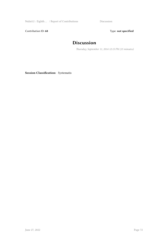NuInt12 : Eighth … / Report of Contributions Discussion

Contribution ID: 68 Type: **not specified** 

## **Discussion**

*Thursday, September 11, 2014 12:15 PM (15 minutes)*

**Session Classification:** Systematis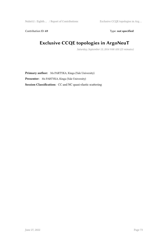Contribution ID: 69 Type: **not specified** 

# **Exclusive CCQE topologies in ArgoNeuT**

*Saturday, September 13, 2014 9:00 AM (25 minutes)*

Primary author: Ms PARTYKA, Kinga (Yale University) **Presenter:** Ms PARTYKA, Kinga (Yale University) **Session Classification:** CC and NC quasi-elastic scattering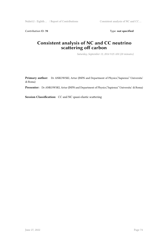NuInt12 : Eighth ... / Report of Contributions Consistent analysis of NC and CC ...

Contribution ID: 70 Type: not specified

#### **Consistent analysis of NC and CC neutrino scattering off carbon**

*Saturday, September 13, 2014 9:25 AM (20 minutes)*

**Primary author:** Dr ANKOWSKI, Artur (INFN and Department of Physics,"Sapienza" Universita' di Roma)

**Presenter:** Dr ANKOWSKI, Artur (INFN and Department of Physics,"Sapienza" Universita' di Roma)

**Session Classification:** CC and NC quasi-elastic scattering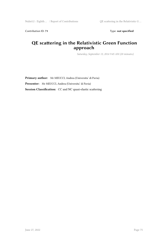Contribution ID: 71 Type: **not specified** 

#### **QE scattering in the Relativistic Green Function approach**

*Saturday, September 13, 2014 9:45 AM (20 minutes)*

**Primary author:** Mr MEUCCI, Andrea (Universita' di Pavia) **Presenter:** Mr MEUCCI, Andrea (Universita' di Pavia) **Session Classification:** CC and NC quasi-elastic scattering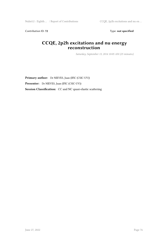NuInt12 : Eighth ... / Report of Contributions CCQE, 2p2h excitations and nu en ...

Contribution ID: 72 Type: **not specified** 

#### **CCQE, 2p2h excitations and nu energy reconstruction**

*Saturday, September 13, 2014 10:05 AM (25 minutes)*

**Primary author:** Dr NIEVES, Juan (IFIC (CSIC-UV)) **Presenter:** Dr NIEVES, Juan (IFIC (CSIC-UV)) **Session Classification:** CC and NC quasi-elastic scattering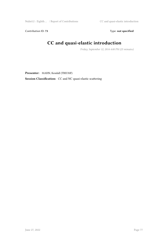NuInt12 : Eighth ... / Report of Contributions CC and quasi-elastic introduction

Contribution ID: 73 Type: **not specified** 

# **CC and quasi-elastic introduction**

*Friday, September 12, 2014 4:00 PM (25 minutes)*

**Presenter:** MAHN, Kendall (TRIUMF)

**Session Classification:** CC and NC quasi-elastic scattering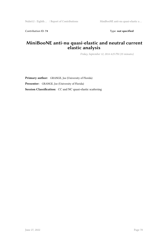Contribution ID: 74 Type: **not specified** 

#### **MiniBooNE anti-nu quasi-elastic and neutral current elastic analysis**

*Friday, September 12, 2014 4:25 PM (35 minutes)*

**Primary author:** GRANGE, Joe (University of Florida) **Presenter:** GRANGE, Joe (University of Florida) **Session Classification:** CC and NC quasi-elastic scattering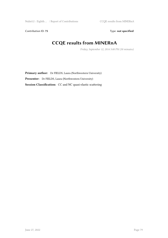Contribution ID: 75 Type: **not specified** 

# **CCQE results from MINERnA**

*Friday, September 12, 2014 5:00 PM (30 minutes)*

**Primary author:** Dr FIELDS, Laura (Northwestern University) **Presenter:** Dr FIELDS, Laura (Northwestern University) **Session Classification:** CC and NC quasi-elastic scattering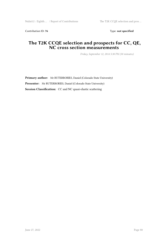Contribution ID: 76 Type: **not specified** 

#### **The T2K CCQE selection and prospects for CC, QE, NC cross section measurements**

*Friday, September 12, 2014 5:30 PM (30 minutes)*

**Primary author:** Mr RUTERBORIES, Daniel (Colorado State University) **Presenter:** Mr RUTERBORIES, Daniel (Colorado State University) **Session Classification:** CC and NC quasi-elastic scattering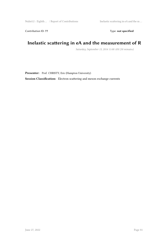Contribution ID: 77 Type: **not specified** 

### **Inelastic scattering in eA and the measurement of R**

*Saturday, September 13, 2014 11:00 AM (30 minutes)*

Presenter: Prof. CHRISTY, Eric (Hampton University)

**Session Classification:** Electron scattering and meson exchange currents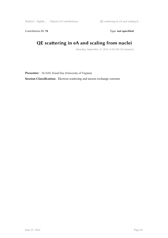Contribution ID: 78 Type: not specified

# **QE scattering in eA and scaling from nuclei**

*Saturday, September 13, 2014 11:30 AM (30 minutes)*

**Presenter:** Dr DAY, Donal Day (University of Virginia)

**Session Classification:** Electron scattering and meson exchange currents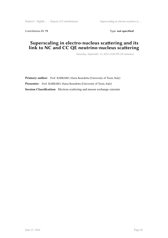NuInt12 : Eighth … / Report of Contributions Superscaling in electro-nucleus sc …

Contribution ID: 79 Type: **not specified** 

#### **Superscaling in electro-nucleus scattering and its link to NC and CC QE neutrino-nucleus scattering**

*Saturday, September 13, 2014 12:00 PM (30 minutes)*

Primary author: Prof. BARBARO, Maria Benedetta (University of Turin, Italy) **Presenter:** Prof. BARBARO, Maria Benedetta (University of Turin, Italy) **Session Classification:** Electron scattering and meson exchange currents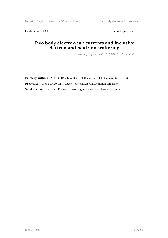NuInt12 : Eighth ... / Report of Contributions Two body electroweak currents an ...

Contribution ID: 80 Type: not specified

#### **Two body electroweak currents and inclusive electron and neutrino scattering**

*Saturday, September 13, 2014 2:00 PM (30 minutes)*

Primary author: Prof. SCHIAVILLA, Rocco (Jefferson Lab/Old Dominion University) **Presenter:** Prof. SCHIAVILLA, Rocco (Jefferson Lab/Old Dominion University) **Session Classification:** Electron scattering and meson exchange currents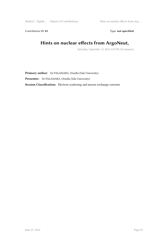NuInt12 : Eighth … / Report of Contributions Hints on nuclear effects from Arg …

Contribution ID: 81 Type: **not specified** 

# **Hints on nuclear effects from ArgoNeut,**

*Saturday, September 13, 2014 2:30 PM (30 minutes)*

**Primary author:** Dr PALAMARA, Ornella (Yale University)

**Presenter:** Dr PALAMARA, Ornella (Yale University)

**Session Classification:** Electron scattering and meson exchange currents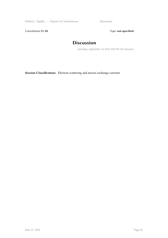NuInt12 : Eighth … / Report of Contributions Discussion

Contribution ID: 82 Type: **not specified** 

## **Discussion**

*Saturday, September 13, 2014 3:00 PM (30 minutes)*

**Session Classification:** Electron scattering and meson exchange currents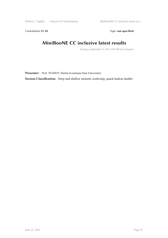Contribution ID: 83 Type: **not specified** 

# **MiniBooNE CC inclusive latest results**

*Tuesday, September 9, 2014 5:00 PM (20 minutes)*

Presenter: Prof. TZANOV, Martin (Louisiana State University)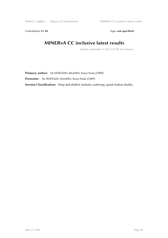Contribution ID: 84 Type: **not specified** 

### **MINERvA CC inclusive latest results**

*Tuesday, September 9, 2014 5:20 PM (20 minutes)*

**Primary author:** Mr HURTADO ANAMPA, Kenyi Paolo (CBPF)

**Presenter:** Mr HURTADO ANAMPA, Kenyi Paolo (CBPF)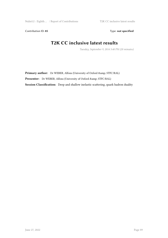Contribution ID: 85 Type: **not specified** 

## **T2K CC inclusive latest results**

*Tuesday, September 9, 2014 5:40 PM (20 minutes)*

Primary author: Dr WEBER, Alfons (University of Oxford & amp; STFC/RAL) **Presenter:** Dr WEBER, Alfons (University of Oxford & amp; STFC/RAL) **Session Classification:** Deep and shallow inelastic scattering, quark hadron duality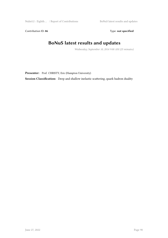Contribution ID: 86 Type: **not specified** 

### **BoNuS latest results and updates**

*Wednesday, September 10, 2014 9:00 AM (25 minutes)*

Presenter: Prof. CHRISTY, Eric (Hampton University)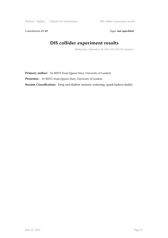Contribution ID: 87 Type: **not specified** 

### **DIS collider experiment results**

*Wednesday, September 10, 2014 9:25 AM (25 minutes)*

**Primary author:** Dr RIZVI, Eram (Queen Mary, University of London)

Presenter: Dr RIZVI, Eram (Queen Mary, University of London)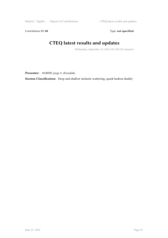Contribution ID: 88 Type: **not specified** 

# **CTEQ latest results and updates**

*Wednesday, September 10, 2014 9:50 AM (25 minutes)*

**Presenter:** MORFIN, Jorge G. (Fermilab)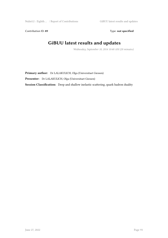Contribution ID: 89 Type: **not specified** 

#### **GiBUU latest results and updates**

*Wednesday, September 10, 2014 10:40 AM (20 minutes)*

**Primary author:** Dr LALAKULICH, Olga (Universitaet Giessen)

**Presenter:** Dr LALAKULICH, Olga (Universitaet Giessen)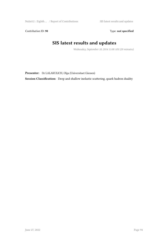Contribution ID: 90 **Type:** not specified

# **SIS latest results and updates**

*Wednesday, September 10, 2014 11:00 AM (20 minutes)*

**Presenter:** Dr LALAKULICH, Olga (Universitaet Giessen)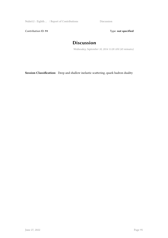NuInt12 : Eighth … / Report of Contributions Discussion

Contribution ID: 91 **Type: not specified** 

## **Discussion**

*Wednesday, September 10, 2014 11:20 AM (45 minutes)*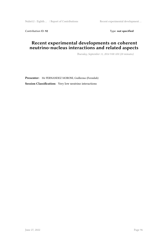NuInt12 : Eighth ... / Report of Contributions Recent experimental development ...

Contribution ID: 92 Type: **not specified** 

#### **Recent experimental developments on coherent neutrino-nucleus interactions and related aspects**

*Thursday, September 11, 2014 9:00 AM (20 minutes)*

**Presenter:** Mr FERNANDEZ MORONI, Guillermo (Fermilab) **Session Classification:** Very low neutrino interactions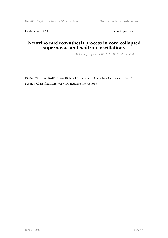Contribution ID: 93 Type: **not specified** 

#### **Neutrino nucleosynthesis process in core-collapsed supernovae and neutrino oscillations**

*Wednesday, September 10, 2014 1:30 PM (30 minutes)*

**Presenter:** Prof. KAJINO, Taka (National Astronomical Observatory, University of Tokyo) **Session Classification:** Very low neutrino interactions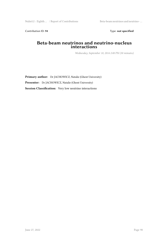NuInt12 : Eighth ... / Report of Contributions Beta-beam neutrinos and neutrino- ...

Contribution ID: 94 Type: **not specified** 

#### **Beta-beam neutrinos and neutrino-nucleus interactions**

*Wednesday, September 10, 2014 2:00 PM (30 minutes)*

**Primary author:** Dr JACHOWICZ, Natalie (Ghent University) **Presenter:** Dr JACHOWICZ, Natalie (Ghent University) **Session Classification:** Very low neutrino interactions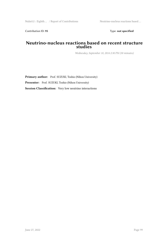Contribution ID: 95 Type: **not specified** 

#### **Neutrino-nucleus reactions based on recent structure studies**

*Wednesday, September 10, 2014 2:30 PM (30 minutes)*

Primary author: Prof. SUZUKI, Toshio (Nihon University) **Presenter:** Prof. SUZUKI, Toshio (Nihon University) **Session Classification:** Very low neutrino interactions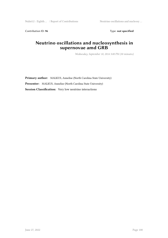NuInt12 : Eighth ... / Report of Contributions Neutrino oscillations and nucleosy ...

Contribution ID: 96 Type: **not specified** 

#### **Neutrino oscillations and nucleosynthesis in supernovae amd GRB**

*Wednesday, September 10, 2014 3:00 PM (30 minutes)*

**Primary author:** MALKUS, Annelise (North Carolina State University) **Presenter:** MALKUS, Annelise (North Carolina State University) **Session Classification:** Very low neutrino interactions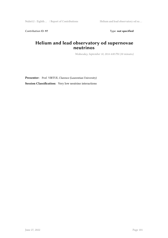Contribution ID: 97 Type: **not specified** 

#### **Helium and lead observatory od supernovae neutrinos**

*Wednesday, September 10, 2014 4:00 PM (30 minutes)*

**Presenter:** Prof. VIRTUE, Clarence (Laurentian University) **Session Classification:** Very low neutrino interactions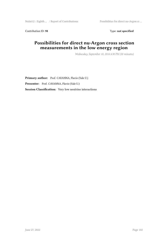NuInt12 : Eighth … / Report of Contributions Possibilities for direct nu-Argon cr …

Contribution ID: 98 Type: **not specified** 

#### **Possibilities for direct nu-Argon cross section measurements in the low energy region**

*Wednesday, September 10, 2014 4:30 PM (30 minutes)*

Primary author: Prof. CAVANNA, Flavio (Yale U.) Presenter: Prof. CAVANNA, Flavio (Yale U.) **Session Classification:** Very low neutrino interactions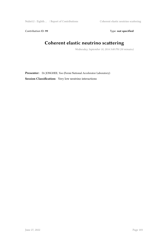Contribution ID: 99 Type: **not specified** 

#### **Coherent elastic neutrino scattering**

*Wednesday, September 10, 2014 5:00 PM (30 minutes)*

**Presenter:** Dr JONGHEE, Yoo (Fermi National Accelerator Laboratory) **Session Classification:** Very low neutrino interactions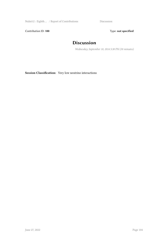NuInt12 : Eighth … / Report of Contributions Discussion

Contribution ID: 100 **Type: not specified** 

## **Discussion**

*Wednesday, September 10, 2014 5:30 PM (30 minutes)*

**Session Classification:** Very low neutrino interactions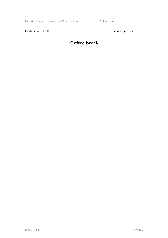Contribution ID: 101 **Type: not specified** 

# **Coffee break**